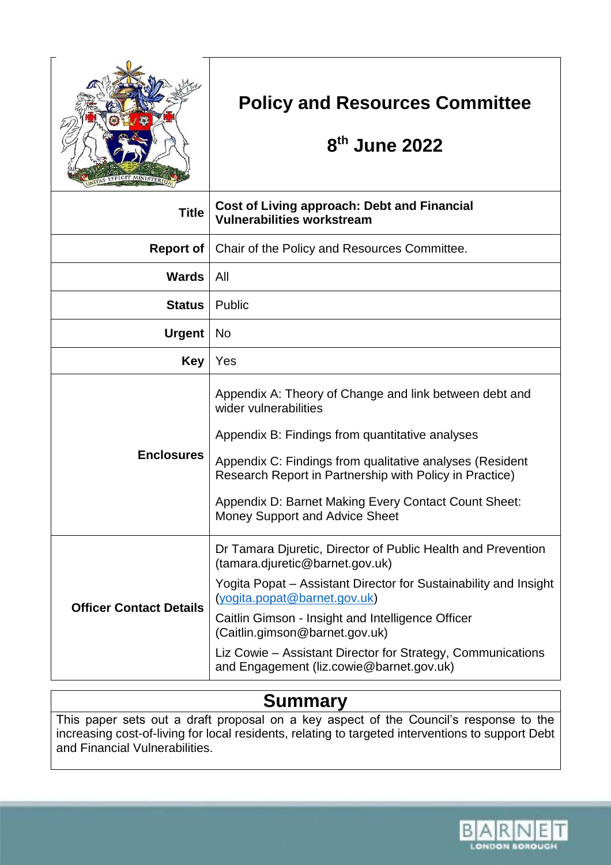

# **Policy and Resources Committee**

# **8 th June 2022**

| <b>Title</b>                   | <b>Cost of Living approach: Debt and Financial</b><br><b>Vulnerabilities workstream</b>                                                                                                                                                                                                                                                                                                               |
|--------------------------------|-------------------------------------------------------------------------------------------------------------------------------------------------------------------------------------------------------------------------------------------------------------------------------------------------------------------------------------------------------------------------------------------------------|
| <b>Report of</b>               | Chair of the Policy and Resources Committee.                                                                                                                                                                                                                                                                                                                                                          |
| <b>Wards</b>                   | All                                                                                                                                                                                                                                                                                                                                                                                                   |
| Status                         | Public                                                                                                                                                                                                                                                                                                                                                                                                |
| <b>Urgent</b>                  | <b>No</b>                                                                                                                                                                                                                                                                                                                                                                                             |
| <b>Key</b>                     | Yes                                                                                                                                                                                                                                                                                                                                                                                                   |
| <b>Enclosures</b>              | Appendix A: Theory of Change and link between debt and<br>wider vulnerabilities<br>Appendix B: Findings from quantitative analyses<br>Appendix C: Findings from qualitative analyses (Resident<br>Research Report in Partnership with Policy in Practice)<br>Appendix D: Barnet Making Every Contact Count Sheet:<br>Money Support and Advice Sheet                                                   |
| <b>Officer Contact Details</b> | Dr Tamara Djuretic, Director of Public Health and Prevention<br>(tamara.djuretic@barnet.gov.uk)<br>Yogita Popat – Assistant Director for Sustainability and Insight<br>(yogita.popat@barnet.gov.uk)<br>Caitlin Gimson - Insight and Intelligence Officer<br>(Caitlin.gimson@barnet.gov.uk)<br>Liz Cowie – Assistant Director for Strategy, Communications<br>and Engagement (liz.cowie@barnet.gov.uk) |

## **Summary**

This paper sets out a draft proposal on a key aspect of the Council's response to the increasing cost-of-living for local residents, relating to targeted interventions to support Debt and Financial Vulnerabilities.

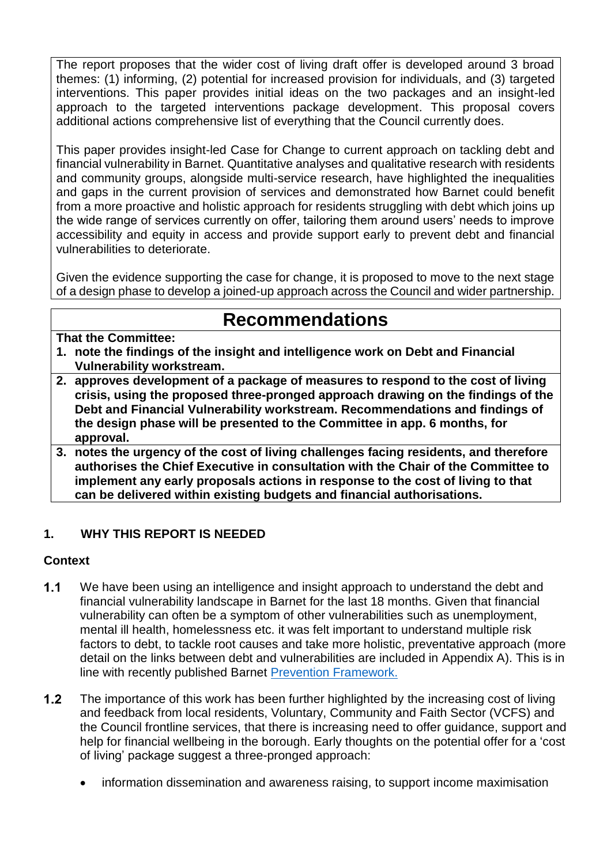The report proposes that the wider cost of living draft offer is developed around 3 broad themes: (1) informing, (2) potential for increased provision for individuals, and (3) targeted interventions. This paper provides initial ideas on the two packages and an insight-led approach to the targeted interventions package development. This proposal covers additional actions comprehensive list of everything that the Council currently does.

This paper provides insight-led Case for Change to current approach on tackling debt and financial vulnerability in Barnet. Quantitative analyses and qualitative research with residents and community groups, alongside multi-service research, have highlighted the inequalities and gaps in the current provision of services and demonstrated how Barnet could benefit from a more proactive and holistic approach for residents struggling with debt which joins up the wide range of services currently on offer, tailoring them around users' needs to improve accessibility and equity in access and provide support early to prevent debt and financial vulnerabilities to deteriorate.

Given the evidence supporting the case for change, it is proposed to move to the next stage of a design phase to develop a joined-up approach across the Council and wider partnership.

## **Recommendations**

#### **That the Committee:**

- **1. note the findings of the insight and intelligence work on Debt and Financial Vulnerability workstream.**
- **2. approves development of a package of measures to respond to the cost of living crisis, using the proposed three-pronged approach drawing on the findings of the Debt and Financial Vulnerability workstream. Recommendations and findings of the design phase will be presented to the Committee in app. 6 months, for approval.**
- **3. notes the urgency of the cost of living challenges facing residents, and therefore authorises the Chief Executive in consultation with the Chair of the Committee to implement any early proposals actions in response to the cost of living to that can be delivered within existing budgets and financial authorisations.**

### **1. WHY THIS REPORT IS NEEDED**

#### **Context**

- $1.1$ We have been using an intelligence and insight approach to understand the debt and financial vulnerability landscape in Barnet for the last 18 months. Given that financial vulnerability can often be a symptom of other vulnerabilities such as unemployment, mental ill health, homelessness etc. it was felt important to understand multiple risk factors to debt, to tackle root causes and take more holistic, preventative approach (more detail on the links between debt and vulnerabilities are included in Appendix A). This is in line with recently published Barnet [Prevention Framework.](https://barnetcouncil.sharepoint.com/sites/BWIandI/SitePages/Barnet-Prevention-Framework-and-Fund-2021-25.aspx)
- $1.2$ The importance of this work has been further highlighted by the increasing cost of living and feedback from local residents, Voluntary, Community and Faith Sector (VCFS) and the Council frontline services, that there is increasing need to offer guidance, support and help for financial wellbeing in the borough. Early thoughts on the potential offer for a 'cost of living' package suggest a three-pronged approach:
	- information dissemination and awareness raising, to support income maximisation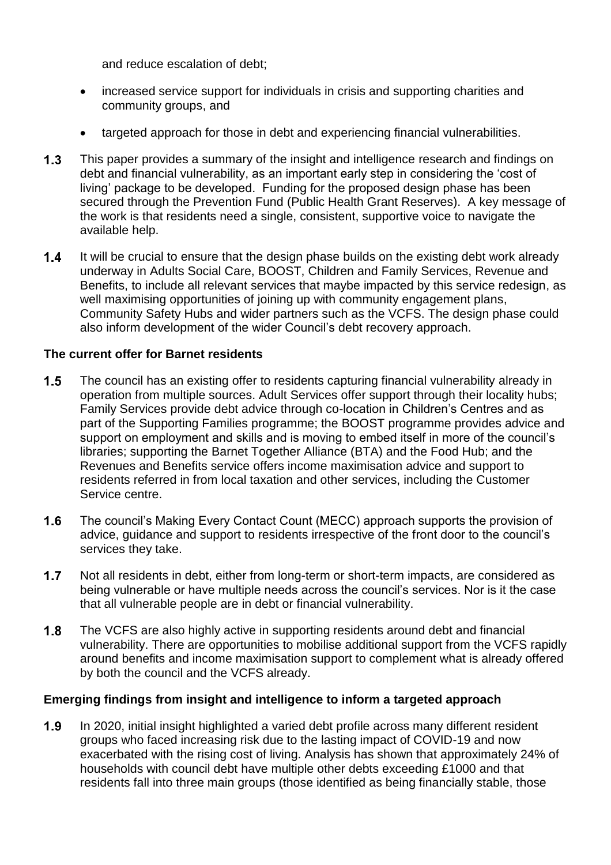and reduce escalation of debt;

- increased service support for individuals in crisis and supporting charities and community groups, and
- targeted approach for those in debt and experiencing financial vulnerabilities.
- $1.3$ This paper provides a summary of the insight and intelligence research and findings on debt and financial vulnerability, as an important early step in considering the 'cost of living' package to be developed. Funding for the proposed design phase has been secured through the Prevention Fund (Public Health Grant Reserves). A key message of the work is that residents need a single, consistent, supportive voice to navigate the available help.
- It will be crucial to ensure that the design phase builds on the existing debt work already  $1.4$ underway in Adults Social Care, BOOST, Children and Family Services, Revenue and Benefits, to include all relevant services that maybe impacted by this service redesign, as well maximising opportunities of joining up with community engagement plans, Community Safety Hubs and wider partners such as the VCFS. The design phase could also inform development of the wider Council's debt recovery approach.

### **The current offer for Barnet residents**

- $1.5$ The council has an existing offer to residents capturing financial vulnerability already in operation from multiple sources. Adult Services offer support through their locality hubs; Family Services provide debt advice through co-location in Children's Centres and as part of the Supporting Families programme; the BOOST programme provides advice and support on employment and skills and is moving to embed itself in more of the council's libraries; supporting the Barnet Together Alliance (BTA) and the Food Hub; and the Revenues and Benefits service offers income maximisation advice and support to residents referred in from local taxation and other services, including the Customer Service centre.
- $1.6$ The council's Making Every Contact Count (MECC) approach supports the provision of advice, guidance and support to residents irrespective of the front door to the council's services they take.
- $1.7$ Not all residents in debt, either from long-term or short-term impacts, are considered as being vulnerable or have multiple needs across the council's services. Nor is it the case that all vulnerable people are in debt or financial vulnerability.
- $1.8$ The VCFS are also highly active in supporting residents around debt and financial vulnerability. There are opportunities to mobilise additional support from the VCFS rapidly around benefits and income maximisation support to complement what is already offered by both the council and the VCFS already.

### **Emerging findings from insight and intelligence to inform a targeted approach**

 $1.9$ In 2020, initial insight highlighted a varied debt profile across many different resident groups who faced increasing risk due to the lasting impact of COVID-19 and now exacerbated with the rising cost of living. Analysis has shown that approximately 24% of households with council debt have multiple other debts exceeding £1000 and that residents fall into three main groups (those identified as being financially stable, those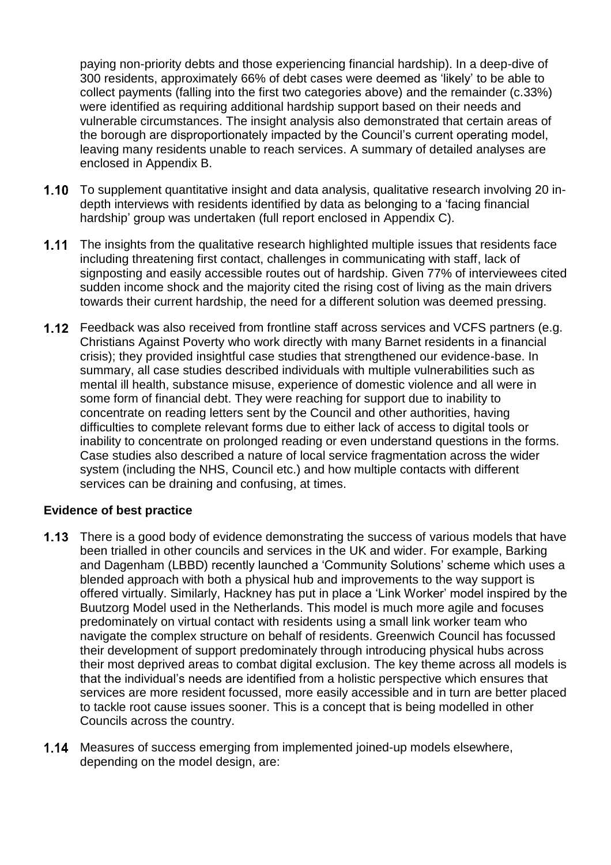paying non-priority debts and those experiencing financial hardship). In a deep-dive of 300 residents, approximately 66% of debt cases were deemed as 'likely' to be able to collect payments (falling into the first two categories above) and the remainder (c.33%) were identified as requiring additional hardship support based on their needs and vulnerable circumstances. The insight analysis also demonstrated that certain areas of the borough are disproportionately impacted by the Council's current operating model, leaving many residents unable to reach services. A summary of detailed analyses are enclosed in Appendix B.

- 1.10 To supplement quantitative insight and data analysis, qualitative research involving 20 indepth interviews with residents identified by data as belonging to a 'facing financial hardship' group was undertaken (full report enclosed in Appendix C).
- $1.11$ The insights from the qualitative research highlighted multiple issues that residents face including threatening first contact, challenges in communicating with staff, lack of signposting and easily accessible routes out of hardship. Given 77% of interviewees cited sudden income shock and the majority cited the rising cost of living as the main drivers towards their current hardship, the need for a different solution was deemed pressing.
- 1.12 Feedback was also received from frontline staff across services and VCFS partners (e.g. Christians Against Poverty who work directly with many Barnet residents in a financial crisis); they provided insightful case studies that strengthened our evidence-base. In summary, all case studies described individuals with multiple vulnerabilities such as mental ill health, substance misuse, experience of domestic violence and all were in some form of financial debt. They were reaching for support due to inability to concentrate on reading letters sent by the Council and other authorities, having difficulties to complete relevant forms due to either lack of access to digital tools or inability to concentrate on prolonged reading or even understand questions in the forms. Case studies also described a nature of local service fragmentation across the wider system (including the NHS, Council etc.) and how multiple contacts with different services can be draining and confusing, at times.

#### **Evidence of best practice**

- **1.13** There is a good body of evidence demonstrating the success of various models that have been trialled in other councils and services in the UK and wider. For example, Barking and Dagenham (LBBD) recently launched a 'Community Solutions' scheme which uses a blended approach with both a physical hub and improvements to the way support is offered virtually. Similarly, Hackney has put in place a 'Link Worker' model inspired by the Buutzorg Model used in the Netherlands. This model is much more agile and focuses predominately on virtual contact with residents using a small link worker team who navigate the complex structure on behalf of residents. Greenwich Council has focussed their development of support predominately through introducing physical hubs across their most deprived areas to combat digital exclusion. The key theme across all models is that the individual's needs are identified from a holistic perspective which ensures that services are more resident focussed, more easily accessible and in turn are better placed to tackle root cause issues sooner. This is a concept that is being modelled in other Councils across the country.
- 1.14 Measures of success emerging from implemented joined-up models elsewhere, depending on the model design, are: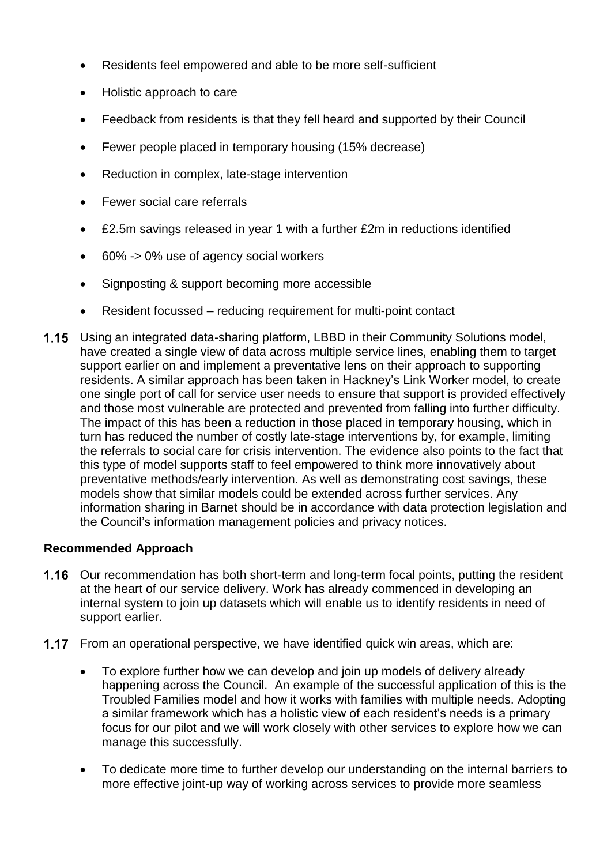- Residents feel empowered and able to be more self-sufficient
- Holistic approach to care
- Feedback from residents is that they fell heard and supported by their Council
- Fewer people placed in temporary housing (15% decrease)
- Reduction in complex, late-stage intervention
- Fewer social care referrals
- £2.5m savings released in year 1 with a further £2m in reductions identified
- 60% -> 0% use of agency social workers
- Signposting & support becoming more accessible
- Resident focussed reducing requirement for multi-point contact
- **1.15** Using an integrated data-sharing platform, LBBD in their Community Solutions model, have created a single view of data across multiple service lines, enabling them to target support earlier on and implement a preventative lens on their approach to supporting residents. A similar approach has been taken in Hackney's Link Worker model, to create one single port of call for service user needs to ensure that support is provided effectively and those most vulnerable are protected and prevented from falling into further difficulty. The impact of this has been a reduction in those placed in temporary housing, which in turn has reduced the number of costly late-stage interventions by, for example, limiting the referrals to social care for crisis intervention. The evidence also points to the fact that this type of model supports staff to feel empowered to think more innovatively about preventative methods/early intervention. As well as demonstrating cost savings, these models show that similar models could be extended across further services. Any information sharing in Barnet should be in accordance with data protection legislation and the Council's information management policies and privacy notices.

### **Recommended Approach**

- 1.16 Our recommendation has both short-term and long-term focal points, putting the resident at the heart of our service delivery. Work has already commenced in developing an internal system to join up datasets which will enable us to identify residents in need of support earlier.
- **1.17** From an operational perspective, we have identified quick win areas, which are:
	- To explore further how we can develop and join up models of delivery already happening across the Council. An example of the successful application of this is the Troubled Families model and how it works with families with multiple needs. Adopting a similar framework which has a holistic view of each resident's needs is a primary focus for our pilot and we will work closely with other services to explore how we can manage this successfully.
	- To dedicate more time to further develop our understanding on the internal barriers to more effective joint-up way of working across services to provide more seamless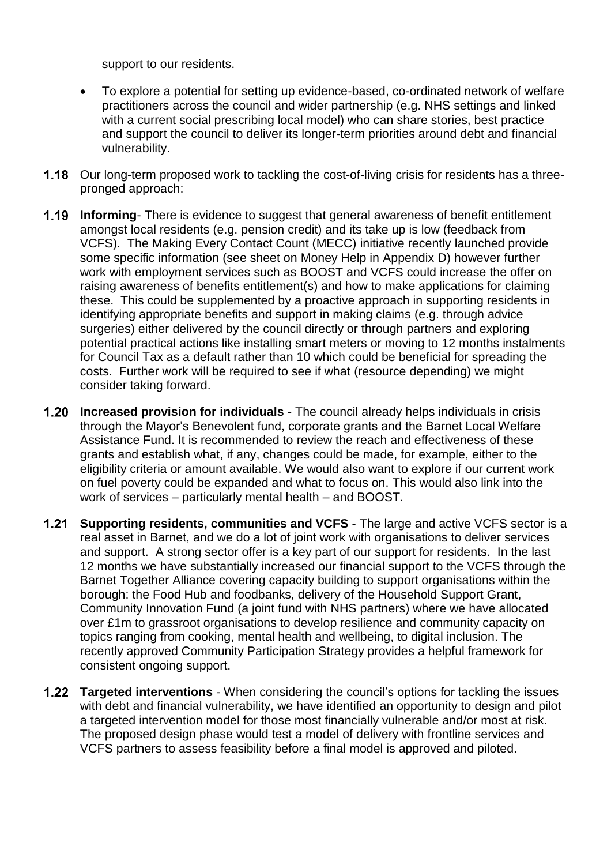support to our residents.

- To explore a potential for setting up evidence-based, co-ordinated network of welfare practitioners across the council and wider partnership (e.g. NHS settings and linked with a current social prescribing local model) who can share stories, best practice and support the council to deliver its longer-term priorities around debt and financial vulnerability.
- 1.18 Our long-term proposed work to tackling the cost-of-living crisis for residents has a threepronged approach:
- $1.19$ **Informing**- There is evidence to suggest that general awareness of benefit entitlement amongst local residents (e.g. pension credit) and its take up is low (feedback from VCFS). The Making Every Contact Count (MECC) initiative recently launched provide some specific information (see sheet on Money Help in Appendix D) however further work with employment services such as BOOST and VCFS could increase the offer on raising awareness of benefits entitlement(s) and how to make applications for claiming these. This could be supplemented by a proactive approach in supporting residents in identifying appropriate benefits and support in making claims (e.g. through advice surgeries) either delivered by the council directly or through partners and exploring potential practical actions like installing smart meters or moving to 12 months instalments for Council Tax as a default rather than 10 which could be beneficial for spreading the costs. Further work will be required to see if what (resource depending) we might consider taking forward.
- $1.20$ **Increased provision for individuals** - The council already helps individuals in crisis through the Mayor's Benevolent fund, corporate grants and the Barnet Local Welfare Assistance Fund. It is recommended to review the reach and effectiveness of these grants and establish what, if any, changes could be made, for example, either to the eligibility criteria or amount available. We would also want to explore if our current work on fuel poverty could be expanded and what to focus on. This would also link into the work of services – particularly mental health – and BOOST.
- $1.21$ **Supporting residents, communities and VCFS** - The large and active VCFS sector is a real asset in Barnet, and we do a lot of joint work with organisations to deliver services and support. A strong sector offer is a key part of our support for residents. In the last 12 months we have substantially increased our financial support to the VCFS through the Barnet Together Alliance covering capacity building to support organisations within the borough: the Food Hub and foodbanks, delivery of the Household Support Grant, Community Innovation Fund (a joint fund with NHS partners) where we have allocated over £1m to grassroot organisations to develop resilience and community capacity on topics ranging from cooking, mental health and wellbeing, to digital inclusion. The recently approved Community Participation Strategy provides a helpful framework for consistent ongoing support.
- **Targeted interventions** When considering the council's options for tackling the issues with debt and financial vulnerability, we have identified an opportunity to design and pilot a targeted intervention model for those most financially vulnerable and/or most at risk. The proposed design phase would test a model of delivery with frontline services and VCFS partners to assess feasibility before a final model is approved and piloted.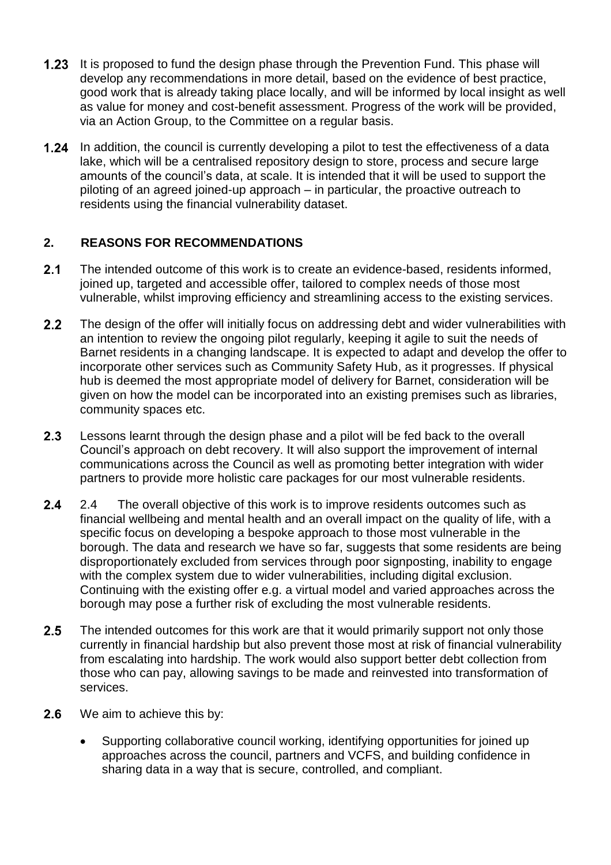- $1.23$ It is proposed to fund the design phase through the Prevention Fund. This phase will develop any recommendations in more detail, based on the evidence of best practice, good work that is already taking place locally, and will be informed by local insight as well as value for money and cost-benefit assessment. Progress of the work will be provided, via an Action Group, to the Committee on a regular basis.
- **1.24** In addition, the council is currently developing a pilot to test the effectiveness of a data lake, which will be a centralised repository design to store, process and secure large amounts of the council's data, at scale. It is intended that it will be used to support the piloting of an agreed joined-up approach – in particular, the proactive outreach to residents using the financial vulnerability dataset.

### **2. REASONS FOR RECOMMENDATIONS**

- $2.1$ The intended outcome of this work is to create an evidence-based, residents informed, joined up, targeted and accessible offer, tailored to complex needs of those most vulnerable, whilst improving efficiency and streamlining access to the existing services.
- $2.2$ The design of the offer will initially focus on addressing debt and wider vulnerabilities with an intention to review the ongoing pilot regularly, keeping it agile to suit the needs of Barnet residents in a changing landscape. It is expected to adapt and develop the offer to incorporate other services such as Community Safety Hub, as it progresses. If physical hub is deemed the most appropriate model of delivery for Barnet, consideration will be given on how the model can be incorporated into an existing premises such as libraries, community spaces etc.
- $2.3$ Lessons learnt through the design phase and a pilot will be fed back to the overall Council's approach on debt recovery. It will also support the improvement of internal communications across the Council as well as promoting better integration with wider partners to provide more holistic care packages for our most vulnerable residents.
- $2.4$ 2.4 The overall objective of this work is to improve residents outcomes such as financial wellbeing and mental health and an overall impact on the quality of life, with a specific focus on developing a bespoke approach to those most vulnerable in the borough. The data and research we have so far, suggests that some residents are being disproportionately excluded from services through poor signposting, inability to engage with the complex system due to wider vulnerabilities, including digital exclusion. Continuing with the existing offer e.g. a virtual model and varied approaches across the borough may pose a further risk of excluding the most vulnerable residents.
- $2.5$ The intended outcomes for this work are that it would primarily support not only those currently in financial hardship but also prevent those most at risk of financial vulnerability from escalating into hardship. The work would also support better debt collection from those who can pay, allowing savings to be made and reinvested into transformation of services.
- $2.6$ We aim to achieve this by:
	- Supporting collaborative council working, identifying opportunities for joined up approaches across the council, partners and VCFS, and building confidence in sharing data in a way that is secure, controlled, and compliant.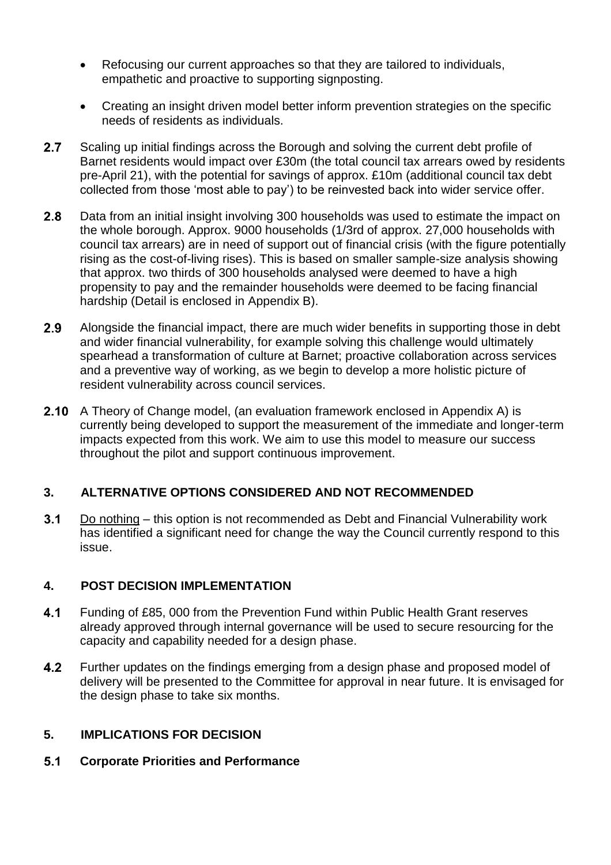- Refocusing our current approaches so that they are tailored to individuals, empathetic and proactive to supporting signposting.
- Creating an insight driven model better inform prevention strategies on the specific needs of residents as individuals.
- $2.7$ Scaling up initial findings across the Borough and solving the current debt profile of Barnet residents would impact over £30m (the total council tax arrears owed by residents pre-April 21), with the potential for savings of approx. £10m (additional council tax debt collected from those 'most able to pay') to be reinvested back into wider service offer.
- $2.8$ Data from an initial insight involving 300 households was used to estimate the impact on the whole borough. Approx. 9000 households (1/3rd of approx. 27,000 households with council tax arrears) are in need of support out of financial crisis (with the figure potentially rising as the cost-of-living rises). This is based on smaller sample-size analysis showing that approx. two thirds of 300 households analysed were deemed to have a high propensity to pay and the remainder households were deemed to be facing financial hardship (Detail is enclosed in Appendix B).
- $2.9$ Alongside the financial impact, there are much wider benefits in supporting those in debt and wider financial vulnerability, for example solving this challenge would ultimately spearhead a transformation of culture at Barnet; proactive collaboration across services and a preventive way of working, as we begin to develop a more holistic picture of resident vulnerability across council services.
- $2.10$ A Theory of Change model, (an evaluation framework enclosed in Appendix A) is currently being developed to support the measurement of the immediate and longer-term impacts expected from this work. We aim to use this model to measure our success throughout the pilot and support continuous improvement.

### **3. ALTERNATIVE OPTIONS CONSIDERED AND NOT RECOMMENDED**

 $3.1$ Do nothing – this option is not recommended as Debt and Financial Vulnerability work has identified a significant need for change the way the Council currently respond to this issue.

### **4. POST DECISION IMPLEMENTATION**

- $4.1$ Funding of £85, 000 from the Prevention Fund within Public Health Grant reserves already approved through internal governance will be used to secure resourcing for the capacity and capability needed for a design phase.
- $4.2$ Further updates on the findings emerging from a design phase and proposed model of delivery will be presented to the Committee for approval in near future. It is envisaged for the design phase to take six months.

### **5. IMPLICATIONS FOR DECISION**

 $5.1$ **Corporate Priorities and Performance**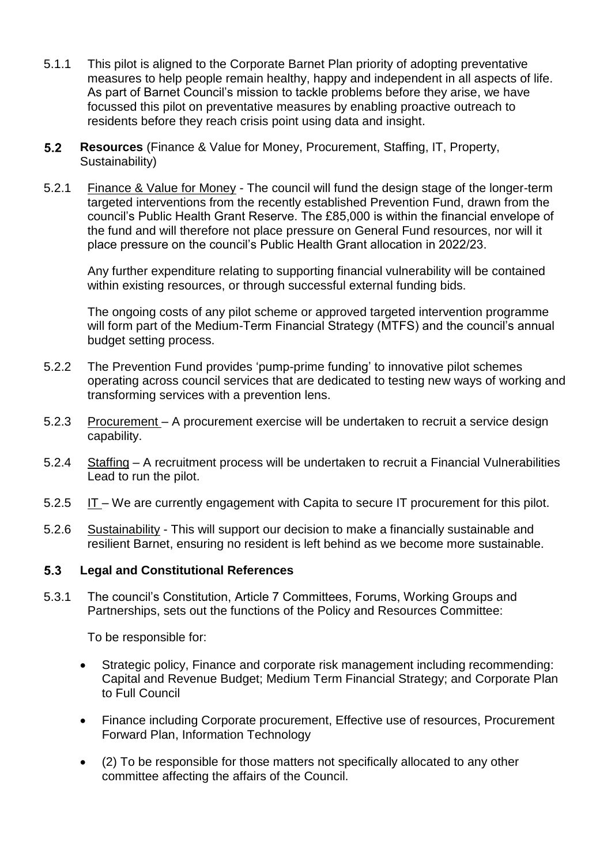- 5.1.1 This pilot is aligned to the Corporate Barnet Plan priority of adopting preventative measures to help people remain healthy, happy and independent in all aspects of life. As part of Barnet Council's mission to tackle problems before they arise, we have focussed this pilot on preventative measures by enabling proactive outreach to residents before they reach crisis point using data and insight.
- $5.2$ **Resources** (Finance & Value for Money, Procurement, Staffing, IT, Property, Sustainability)
- 5.2.1 Finance & Value for Money The council will fund the design stage of the longer-term targeted interventions from the recently established Prevention Fund, drawn from the council's Public Health Grant Reserve. The £85,000 is within the financial envelope of the fund and will therefore not place pressure on General Fund resources, nor will it place pressure on the council's Public Health Grant allocation in 2022/23.

Any further expenditure relating to supporting financial vulnerability will be contained within existing resources, or through successful external funding bids.

The ongoing costs of any pilot scheme or approved targeted intervention programme will form part of the Medium-Term Financial Strategy (MTFS) and the council's annual budget setting process.

- 5.2.2 The Prevention Fund provides 'pump-prime funding' to innovative pilot schemes operating across council services that are dedicated to testing new ways of working and transforming services with a prevention lens.
- 5.2.3 Procurement A procurement exercise will be undertaken to recruit a service design capability.
- 5.2.4 Staffing A recruitment process will be undertaken to recruit a Financial Vulnerabilities Lead to run the pilot.
- 5.2.5 IT We are currently engagement with Capita to secure IT procurement for this pilot.
- 5.2.6 Sustainability This will support our decision to make a financially sustainable and resilient Barnet, ensuring no resident is left behind as we become more sustainable.

#### $5.3$ **Legal and Constitutional References**

5.3.1 The council's Constitution, Article 7 Committees, Forums, Working Groups and Partnerships, sets out the functions of the Policy and Resources Committee:

To be responsible for:

- Strategic policy, Finance and corporate risk management including recommending: Capital and Revenue Budget; Medium Term Financial Strategy; and Corporate Plan to Full Council
- Finance including Corporate procurement, Effective use of resources, Procurement Forward Plan, Information Technology
- (2) To be responsible for those matters not specifically allocated to any other committee affecting the affairs of the Council.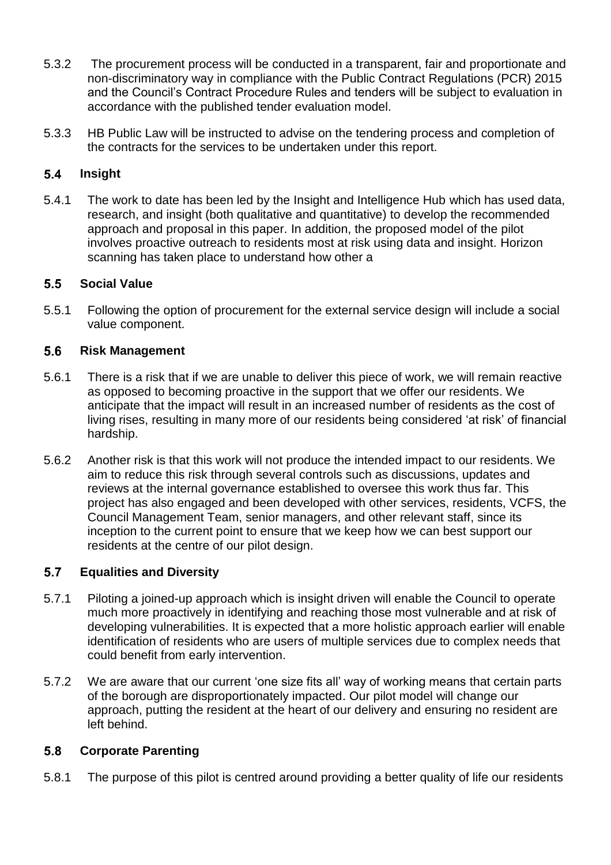- 5.3.2 The procurement process will be conducted in a transparent, fair and proportionate and non-discriminatory way in compliance with the Public Contract Regulations (PCR) 2015 and the Council's Contract Procedure Rules and tenders will be subject to evaluation in accordance with the published tender evaluation model.
- 5.3.3 HB Public Law will be instructed to advise on the tendering process and completion of the contracts for the services to be undertaken under this report.

#### $5.4$ **Insight**

5.4.1 The work to date has been led by the Insight and Intelligence Hub which has used data, research, and insight (both qualitative and quantitative) to develop the recommended approach and proposal in this paper. In addition, the proposed model of the pilot involves proactive outreach to residents most at risk using data and insight. Horizon scanning has taken place to understand how other a

#### $5.5$ **Social Value**

5.5.1 Following the option of procurement for the external service design will include a social value component.

#### $5.6$ **Risk Management**

- 5.6.1 There is a risk that if we are unable to deliver this piece of work, we will remain reactive as opposed to becoming proactive in the support that we offer our residents. We anticipate that the impact will result in an increased number of residents as the cost of living rises, resulting in many more of our residents being considered 'at risk' of financial hardship.
- 5.6.2 Another risk is that this work will not produce the intended impact to our residents. We aim to reduce this risk through several controls such as discussions, updates and reviews at the internal governance established to oversee this work thus far. This project has also engaged and been developed with other services, residents, VCFS, the Council Management Team, senior managers, and other relevant staff, since its inception to the current point to ensure that we keep how we can best support our residents at the centre of our pilot design.

#### $5.7$ **Equalities and Diversity**

- 5.7.1 Piloting a joined-up approach which is insight driven will enable the Council to operate much more proactively in identifying and reaching those most vulnerable and at risk of developing vulnerabilities. It is expected that a more holistic approach earlier will enable identification of residents who are users of multiple services due to complex needs that could benefit from early intervention.
- 5.7.2 We are aware that our current 'one size fits all' way of working means that certain parts of the borough are disproportionately impacted. Our pilot model will change our approach, putting the resident at the heart of our delivery and ensuring no resident are left behind.

#### $5.8$ **Corporate Parenting**

5.8.1 The purpose of this pilot is centred around providing a better quality of life our residents